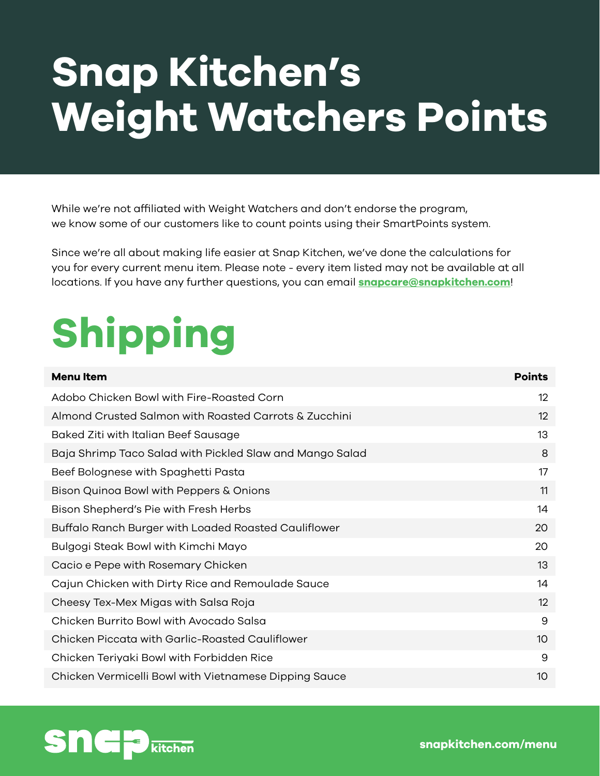## **Snap Kitchen's Weight Watchers Points**

While we're not affiliated with Weight Watchers and don't endorse the program, we know some of our customers like to count points using their SmartPoints system.

Since we're all about making life easier at Snap Kitchen, we've done the calculations for you for every current menu item. Please note - every item listed may not be available at all locations. If you have any further questions, you can email **[snapcare@snapkitchen.com](mailto:snapcare%40snapkitchen.com?subject=Weight%20Watchers%20Points)**!

# **Shipping**

| <b>Menultem</b>                                          | <b>Points</b> |
|----------------------------------------------------------|---------------|
| Adobo Chicken Bowl with Fire-Roasted Corn                | 12            |
| Almond Crusted Salmon with Roasted Carrots & Zucchini    | 12            |
| Baked Ziti with Italian Beef Sausage                     | 13            |
| Baja Shrimp Taco Salad with Pickled Slaw and Mango Salad | 8             |
| Beef Bolognese with Spaghetti Pasta                      | 17            |
| Bison Quinoa Bowl with Peppers & Onions                  | 11            |
| Bison Shepherd's Pie with Fresh Herbs                    | 14            |
| Buffalo Ranch Burger with Loaded Roasted Cauliflower     | 20            |
| Bulgogi Steak Bowl with Kimchi Mayo                      | 20            |
| Cacio e Pepe with Rosemary Chicken                       | 13            |
| Cajun Chicken with Dirty Rice and Remoulade Sauce        | 14            |
| Cheesy Tex-Mex Migas with Salsa Roja                     | 12            |
| Chicken Burrito Bowl with Avocado Salsa                  | 9             |
| Chicken Piccata with Garlic-Roasted Cauliflower          | 10            |
| Chicken Teriyaki Bowl with Forbidden Rice                | 9             |
| Chicken Vermicelli Bowl with Vietnamese Dipping Sauce    | 10            |

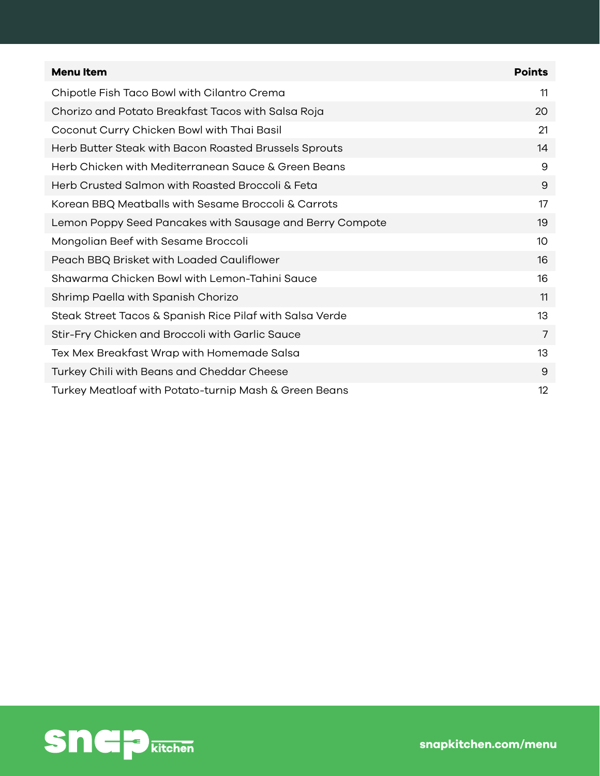| <b>Menultem</b>                                          | <b>Points</b>   |
|----------------------------------------------------------|-----------------|
| Chipotle Fish Taco Bowl with Cilantro Crema              | 11              |
| Chorizo and Potato Breakfast Tacos with Salsa Roja       | 20              |
| Coconut Curry Chicken Bowl with Thai Basil               | 21              |
| Herb Butter Steak with Bacon Roasted Brussels Sprouts    | 14              |
| Herb Chicken with Mediterranean Sauce & Green Beans      | 9               |
| Herb Crusted Salmon with Roasted Broccoli & Feta         | 9               |
| Korean BBQ Meatballs with Sesame Broccoli & Carrots      | 17              |
| Lemon Poppy Seed Pancakes with Sausage and Berry Compote | 19              |
| Mongolian Beef with Sesame Broccoli                      | 10 <sup>°</sup> |
| Peach BBQ Brisket with Loaded Cauliflower                | 16              |
| Shawarma Chicken Bowl with Lemon-Tahini Sauce            | 16              |
| Shrimp Paella with Spanish Chorizo                       | 11              |
| Steak Street Tacos & Spanish Rice Pilaf with Salsa Verde | 13              |
| Stir-Fry Chicken and Broccoli with Garlic Sauce          | 7               |
| Tex Mex Breakfast Wrap with Homemade Salsa               | 13              |
| Turkey Chili with Beans and Cheddar Cheese               | 9               |
| Turkey Meatloaf with Potato-turnip Mash & Green Beans    | 12              |

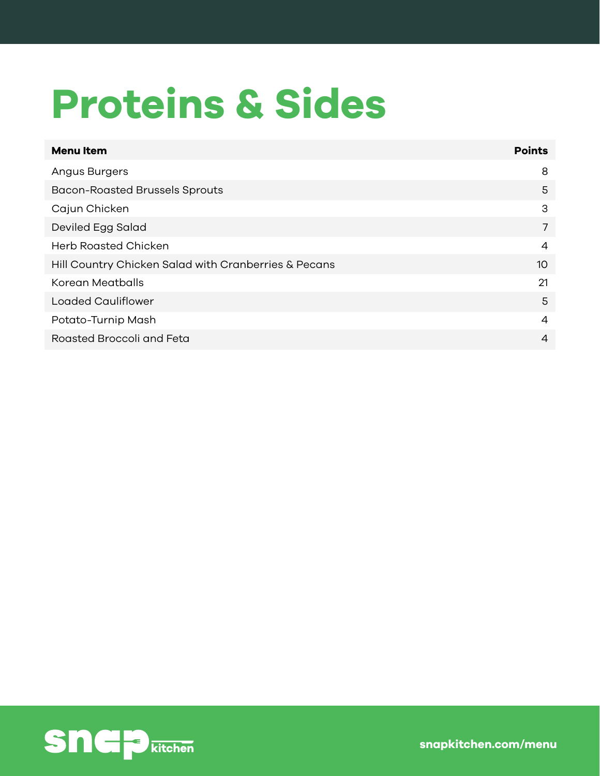### **Proteins & Sides**

| <b>Menultem</b>                                      | <b>Points</b>  |
|------------------------------------------------------|----------------|
| Angus Burgers                                        | 8              |
| <b>Bacon-Roasted Brussels Sprouts</b>                | 5              |
| Cajun Chicken                                        | 3              |
| Deviled Egg Salad                                    | 7              |
| <b>Herb Roasted Chicken</b>                          | 4              |
| Hill Country Chicken Salad with Cranberries & Pecans | 10             |
| Korean Meatballs                                     | 21             |
| <b>Loaded Cauliflower</b>                            | 5              |
| Potato-Turnip Mash                                   | 4              |
| Roasted Broccoli and Feta                            | $\overline{4}$ |

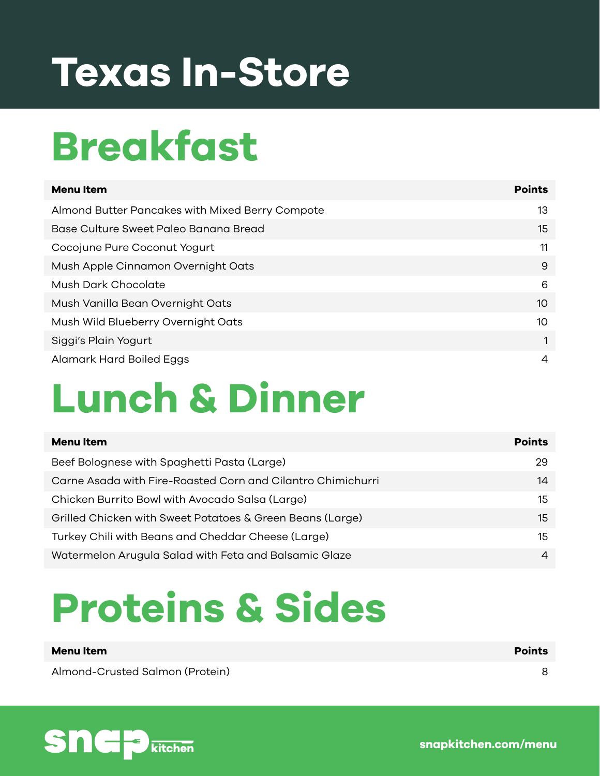### **Texas In-Store**

### **Breakfast**

| <b>Menu</b> Item                                | <b>Points</b> |
|-------------------------------------------------|---------------|
| Almond Butter Pancakes with Mixed Berry Compote | 13            |
| Base Culture Sweet Paleo Banana Bread           | 15            |
| Cocojune Pure Coconut Yogurt                    | 11            |
| Mush Apple Cinnamon Overnight Oats              | 9             |
| Mush Dark Chocolate                             | 6             |
| Mush Vanilla Bean Overnight Oats                | 10            |
| Mush Wild Blueberry Overnight Oats              | 10            |
| Siggi's Plain Yogurt                            |               |
| Alamark Hard Boiled Eggs                        | 4             |

### **Lunch & Dinner**

| Menu Item                                                   | <b>Points</b> |
|-------------------------------------------------------------|---------------|
| Beef Bolognese with Spaghetti Pasta (Large)                 | 29.           |
| Carne Asada with Fire-Roasted Corn and Cilantro Chimichurri | 14            |
| Chicken Burrito Bowl with Avocado Salsa (Large)             | 15            |
| Grilled Chicken with Sweet Potatoes & Green Beans (Large)   | 15            |
| Turkey Chili with Beans and Cheddar Cheese (Large)          | 15            |
| Watermelon Arugula Salad with Feta and Balsamic Glaze       | 4             |

#### **Proteins & Sides**

**Menu Item Points**

Almond-Crusted Salmon (Protein) 8

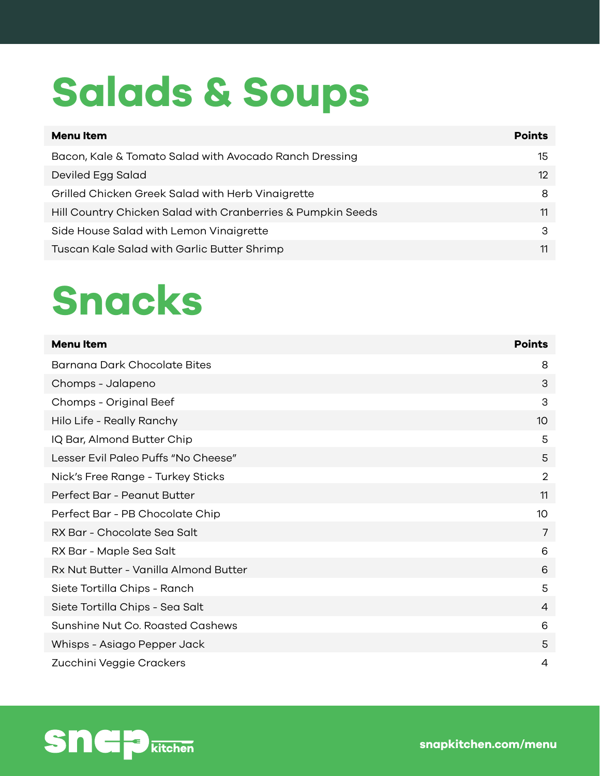## **Salads & Soups**

| <b>Points</b>   |
|-----------------|
| 15              |
| 12 <sup>°</sup> |
| 8               |
| 11              |
| 3               |
| 11              |
|                 |

#### **Snacks**

| <b>Menu Item</b>                      | <b>Points</b>  |
|---------------------------------------|----------------|
| Barnana Dark Chocolate Bites          | 8              |
| Chomps - Jalapeno                     | 3              |
| Chomps - Original Beef                | 3              |
| Hilo Life - Really Ranchy             | 10             |
| IQ Bar, Almond Butter Chip            | 5              |
| Lesser Evil Paleo Puffs "No Cheese"   | 5              |
| Nick's Free Range - Turkey Sticks     | $\overline{2}$ |
| Perfect Bar - Peanut Butter           | 11             |
| Perfect Bar - PB Chocolate Chip       | 10             |
| RX Bar - Chocolate Sea Salt           | 7              |
| RX Bar - Maple Sea Salt               | 6              |
| Rx Nut Butter - Vanilla Almond Butter | 6              |
| Siete Tortilla Chips - Ranch          | 5              |
| Siete Tortilla Chips - Sea Salt       | 4              |
| Sunshine Nut Co. Roasted Cashews      | 6              |
| Whisps - Asiago Pepper Jack           | 5              |
| Zucchini Veggie Crackers              | 4              |

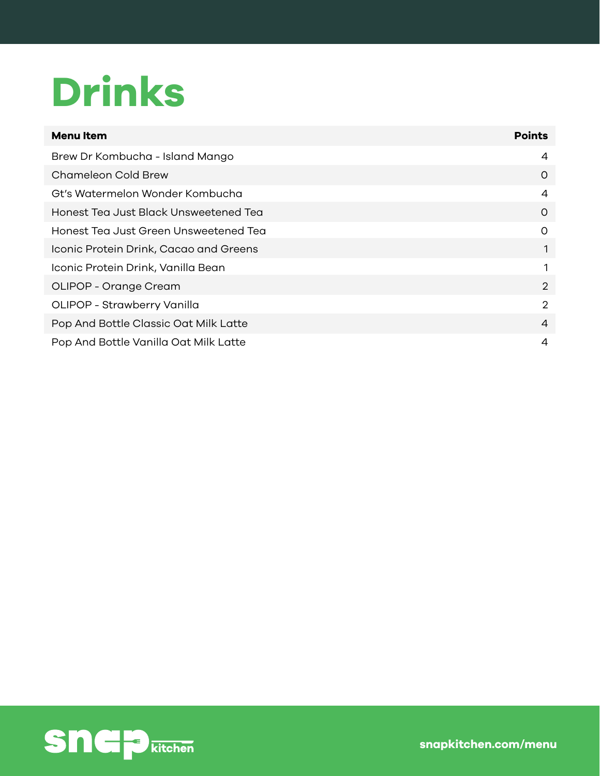## **Drinks**

| <b>Menultem</b>                        | <b>Points</b>  |
|----------------------------------------|----------------|
| Brew Dr Kombucha - Island Mango        | 4              |
| Chameleon Cold Brew                    | 0              |
| Gt's Watermelon Wonder Kombucha        | 4              |
| Honest Tea Just Black Unsweetened Tea  | $\Omega$       |
| Honest Tea Just Green Unsweetened Tea  | 0              |
| Iconic Protein Drink, Cacao and Greens | 1              |
| Iconic Protein Drink, Vanilla Bean     |                |
| OLIPOP - Orange Cream                  | $\overline{2}$ |
| OLIPOP - Strawberry Vanilla            | $\overline{2}$ |
| Pop And Bottle Classic Oat Milk Latte  | $\overline{4}$ |
| Pop And Bottle Vanilla Oat Milk Latte  | 4              |